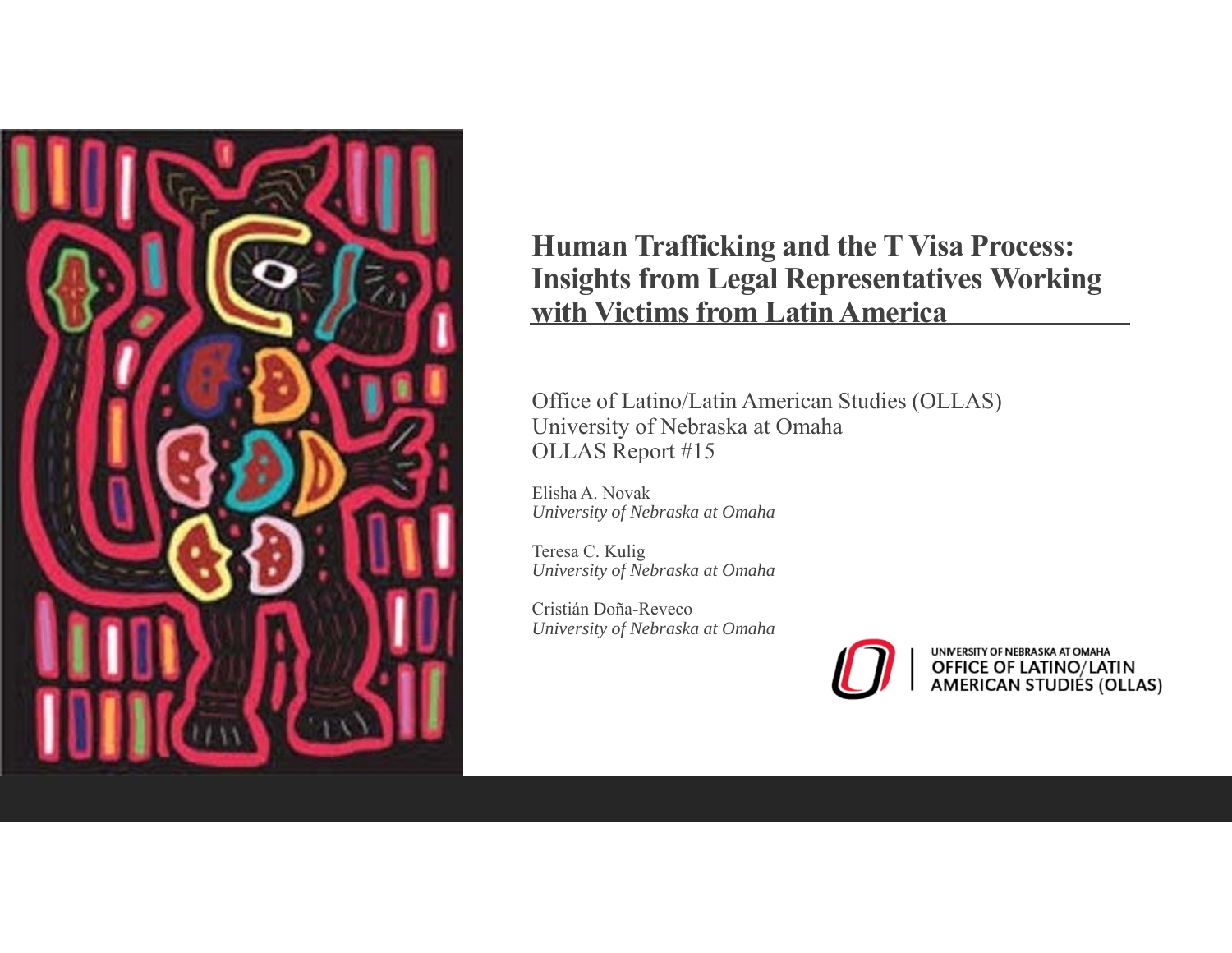

#### **Human Trafficking and the T Visa Process: Insights from Legal Representatives Working with Victims from Latin America**

Office of Latino/Latin American Studies (OLLAS) University of Nebraska at Omaha OLLAS Report #15

Elisha A. Novak*University of Nebraska at Omaha*

Teresa C. Kulig *University of Nebraska at Omaha*

Cristián Doña-Reveco *University of Nebraska at Omaha*



UNIVERSITY OF NEBRASKA AT OMAHA OFFICE OF LATINO/LATIN<br>AMERICAN STUDIES (OLLAS)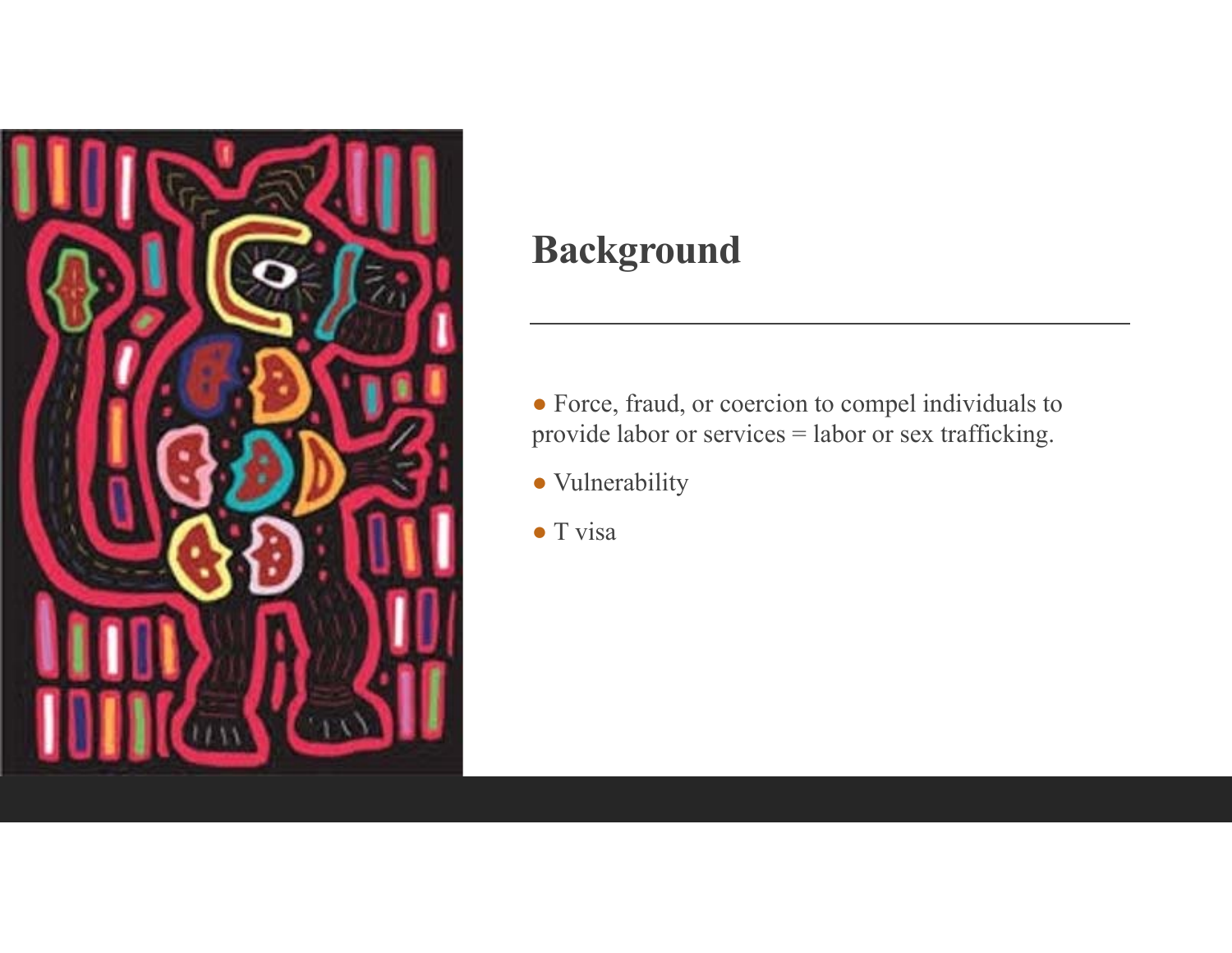

# **Background**

● Force, fraud, or coercion to compel individuals to provide labor or services = labor or sex trafficking.

- Vulnerability
- T visa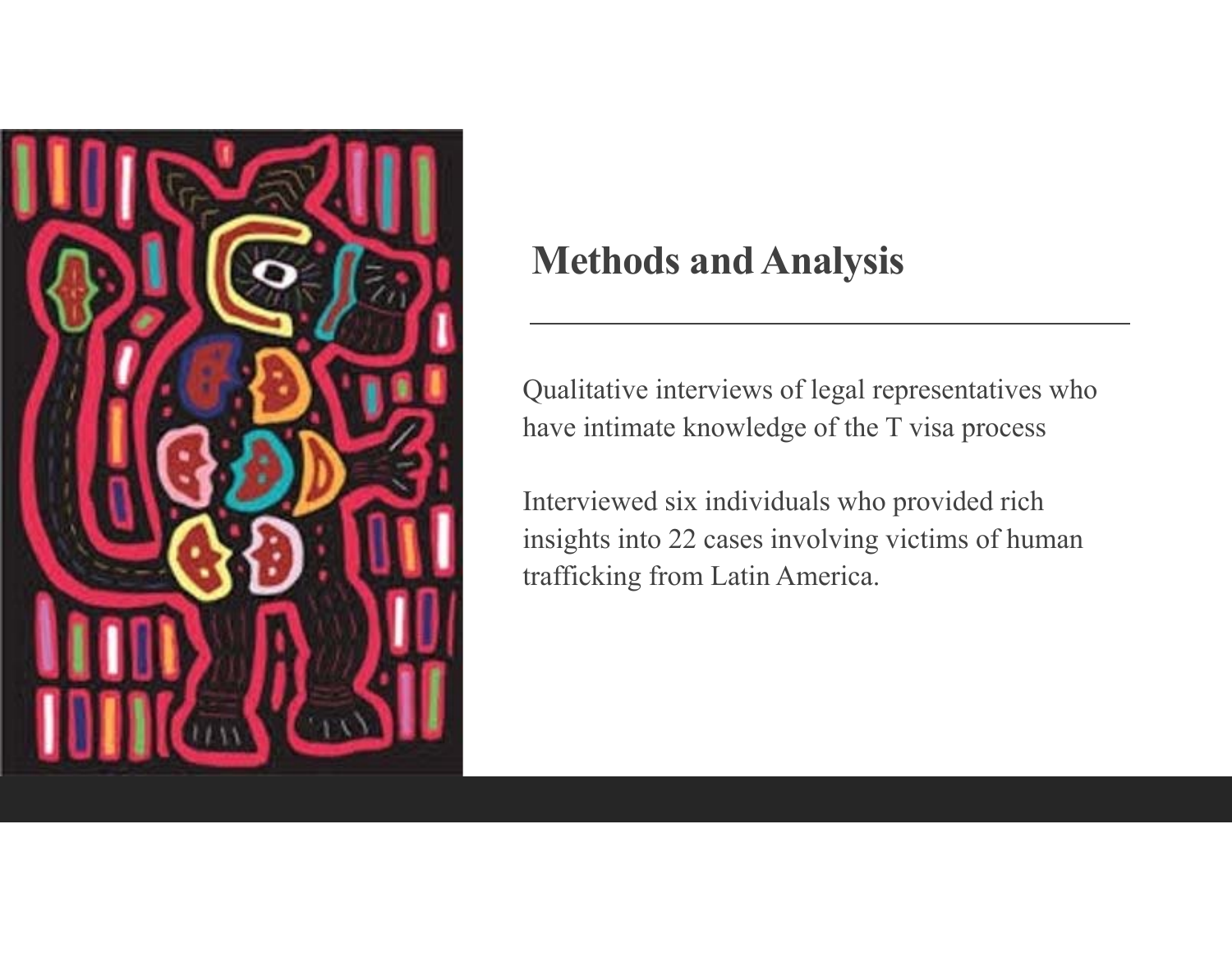

# **Methods and Analysis**

Qualitative interviews of legal representatives who have intimate knowledge of the T visa process

Interviewed six individuals who provided rich insights into 22 cases involving victims of human trafficking from Latin America.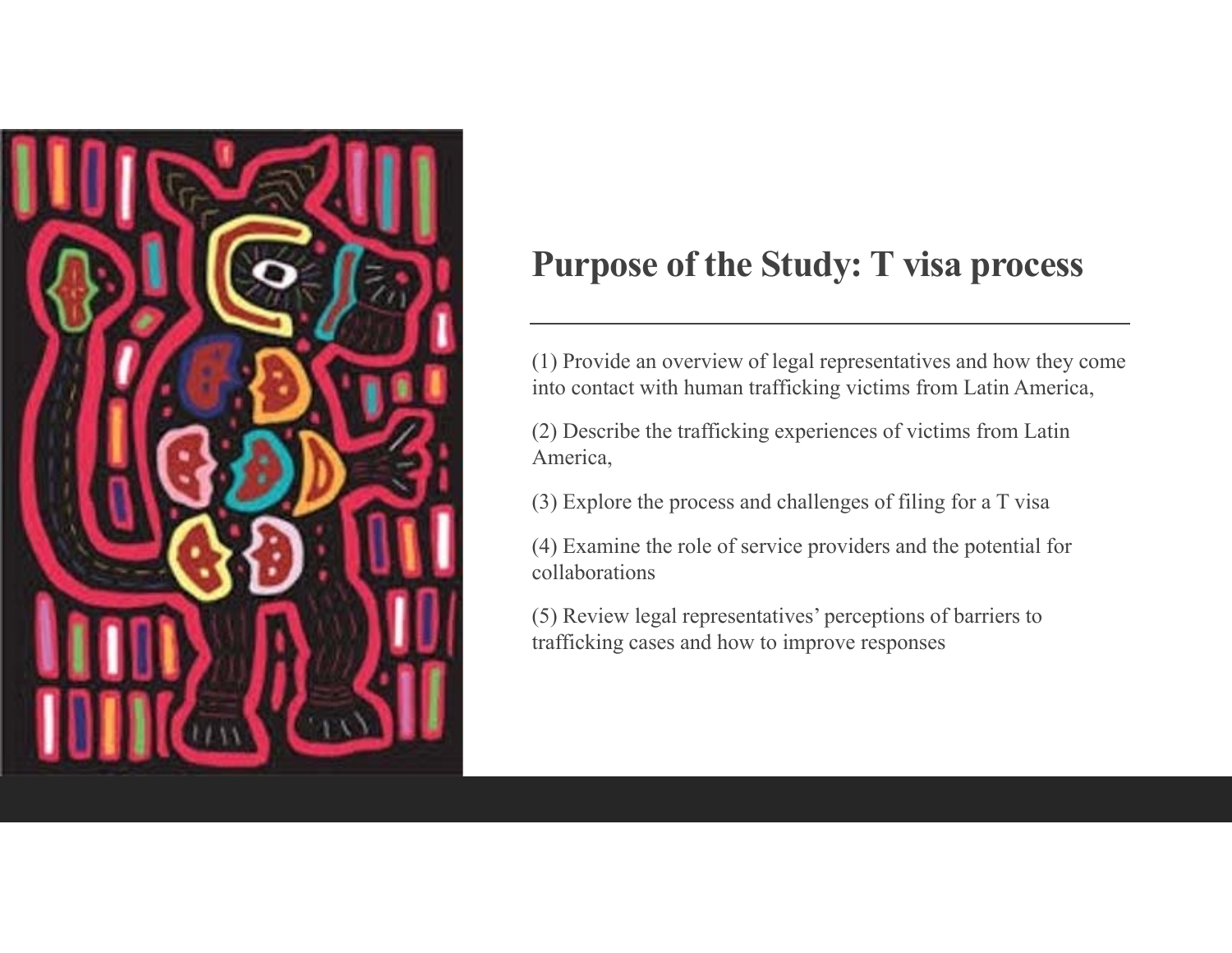

### **Purpose of the Study: T visa process**

(1) Provide an overview of legal representatives and how they come into contact with human trafficking victims from Latin America,

(2) Describe the trafficking experiences of victims from Latin America,

(3) Explore the process and challenges of filing for a T visa

(4) Examine the role of service providers and the potential for collaborations

(5) Review legal representatives' perceptions of barriers to trafficking cases and how to improve responses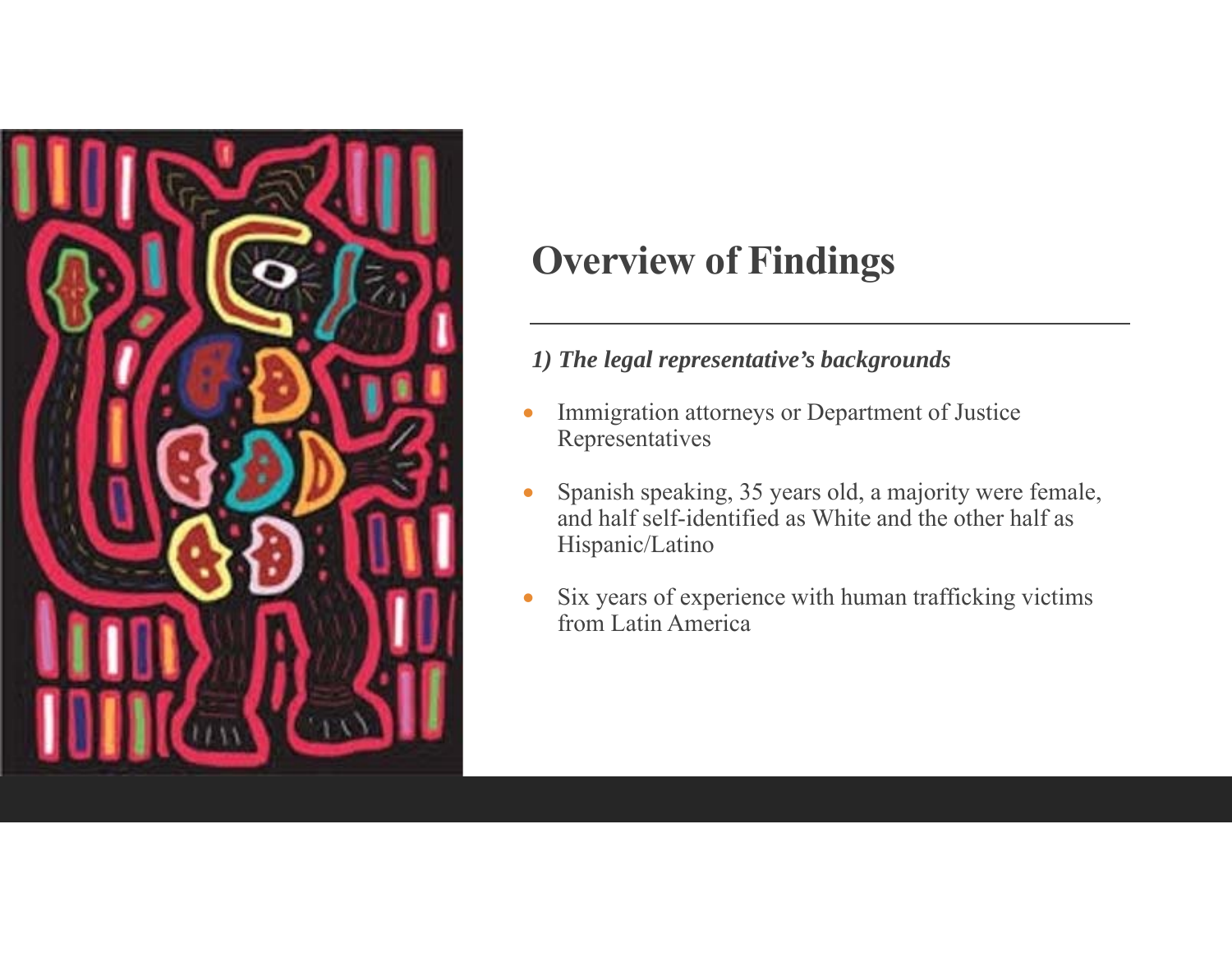

#### *1) The legal representative's backgrounds*

- $\bullet$  Immigration attorneys or Department of Justice Representatives
- $\bullet$  Spanish speaking, 35 years old, a majority were female, and half self-identified as White and the other half as Hispanic/Latino
- $\bullet$  Six years of experience with human trafficking victims from Latin America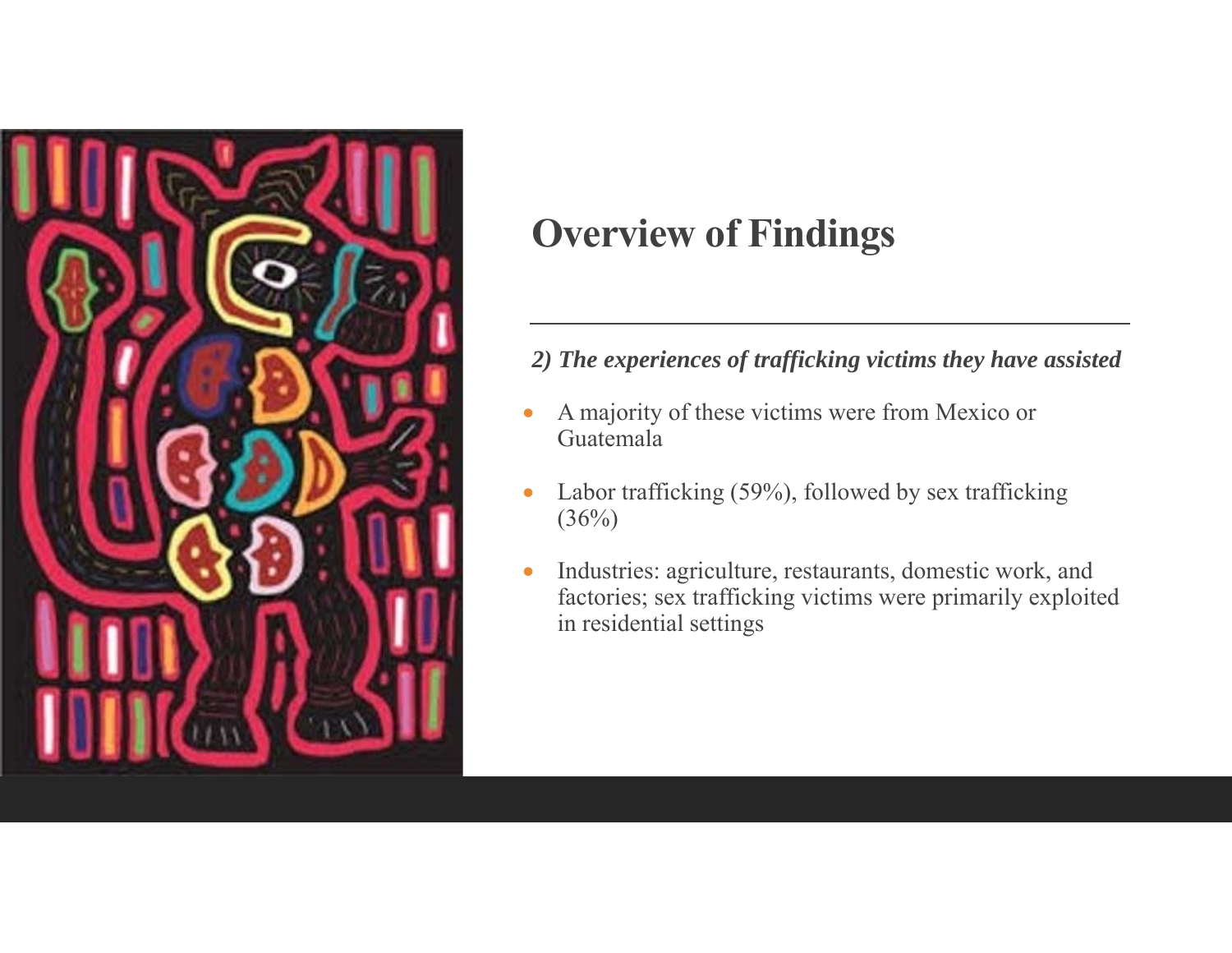

#### *2) The experiences of trafficking victims they have assisted*

- $\bullet$  A majority of these victims were from Mexico or Guatemala
- $\bullet$  Labor trafficking (59%), followed by sex trafficking  $(36%)$
- $\bullet$  Industries: agriculture, restaurants, domestic work, and factories; sex trafficking victims were primarily exploited in residential settings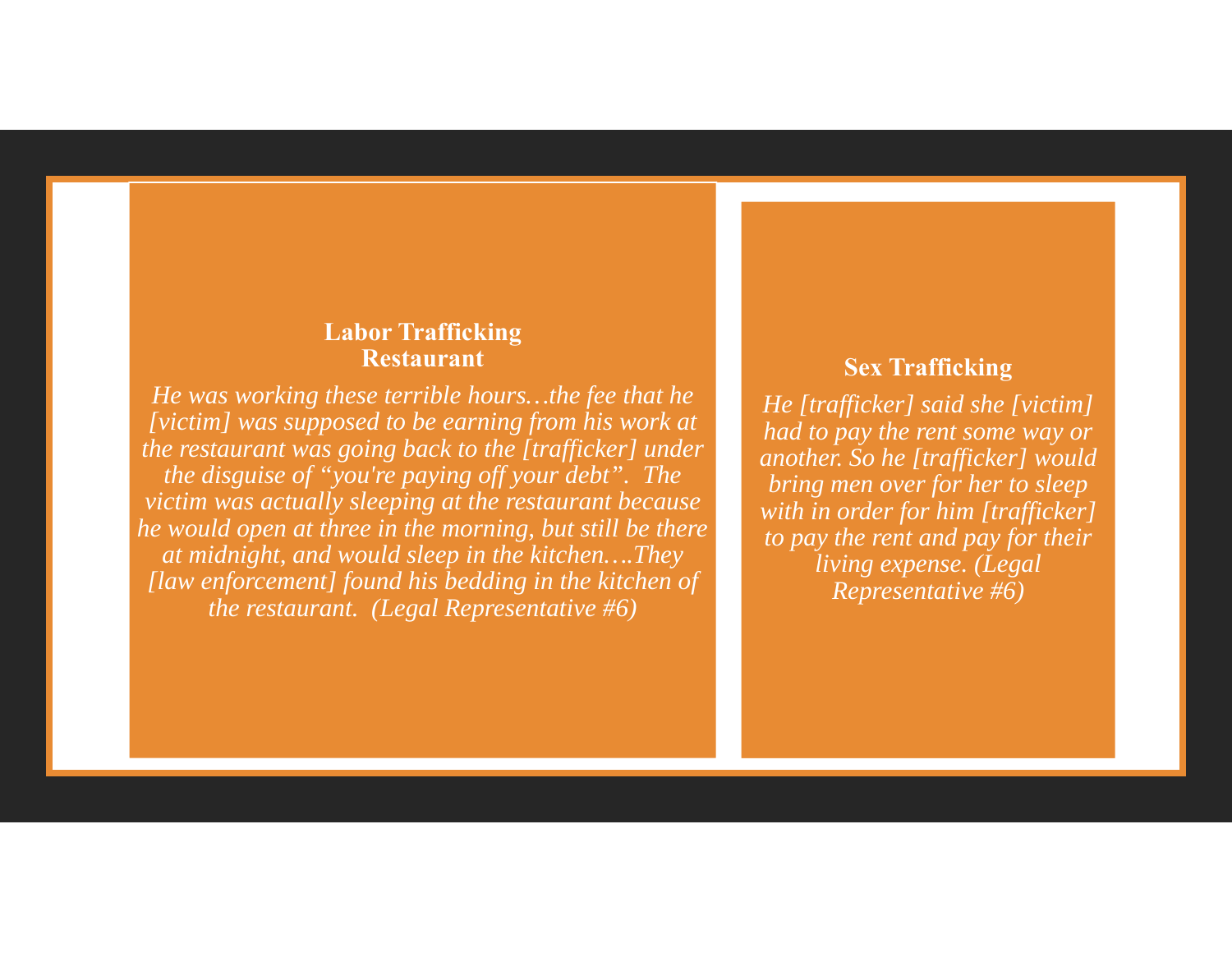#### **Labor Trafficking Restaurant**

*He was working these terrible hours…the fee that he [victim] was supposed to be earning from his work at the restaurant was going back to the [trafficker] under the disguise of "you're paying off your debt". The victim was actually sleeping at the restaurant because he would open at three in the morning, but still be there at midnight, and would sleep in the kitchen….They [law enforcement] found his bedding in the kitchen of the restaurant. (Legal Representative #6)*

#### **Sex Trafficking**

*He [trafficker] said she [victim] had to pay the rent some way or another. So he [trafficker] would bring men over for her to sleep with in order for him [trafficker] to pay the rent and pay for their living expense. (Legal Representative #6)*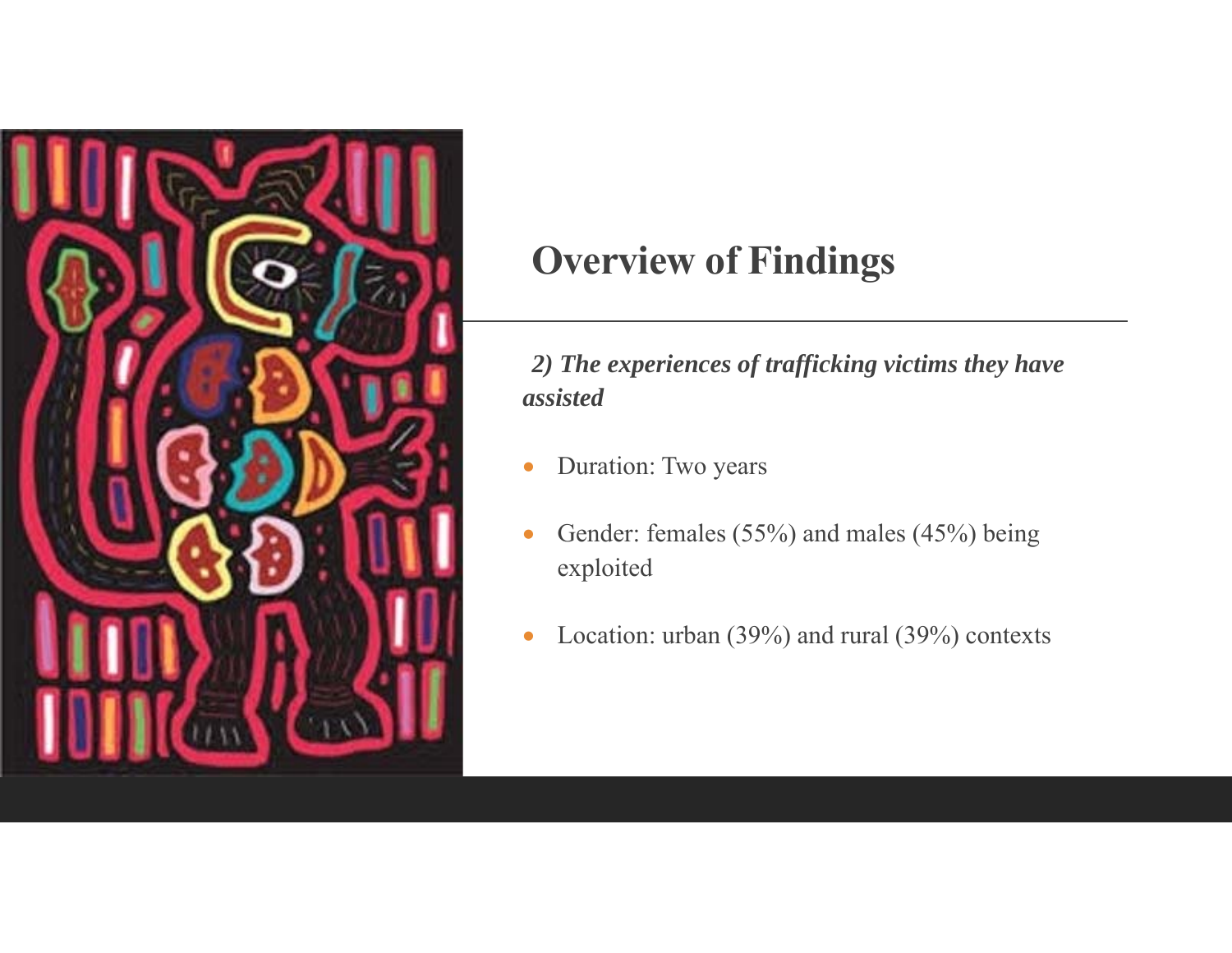

*2) The experiences of trafficking victims they have assisted*

- $\bullet$ Duration: Two years
- $\bullet$  Gender: females (55%) and males (45%) being exploited
- $\bullet$ Location: urban (39%) and rural (39%) contexts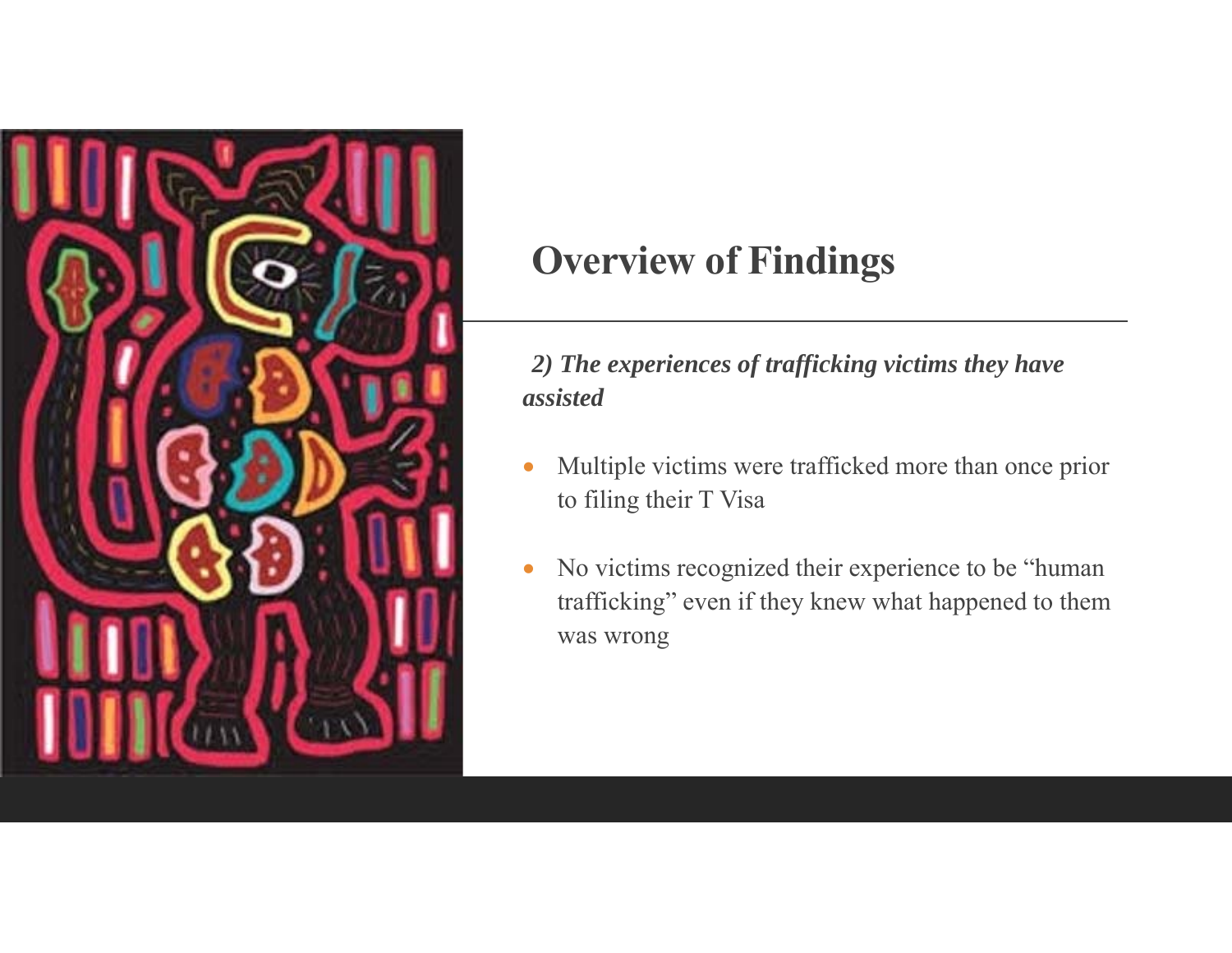

*2) The experiences of trafficking victims they have assisted*

- 0 Multiple victims were trafficked more than once prior to filing their T Visa
- $\bullet$  No victims recognized their experience to be "human trafficking" even if they knew what happened to them was wrong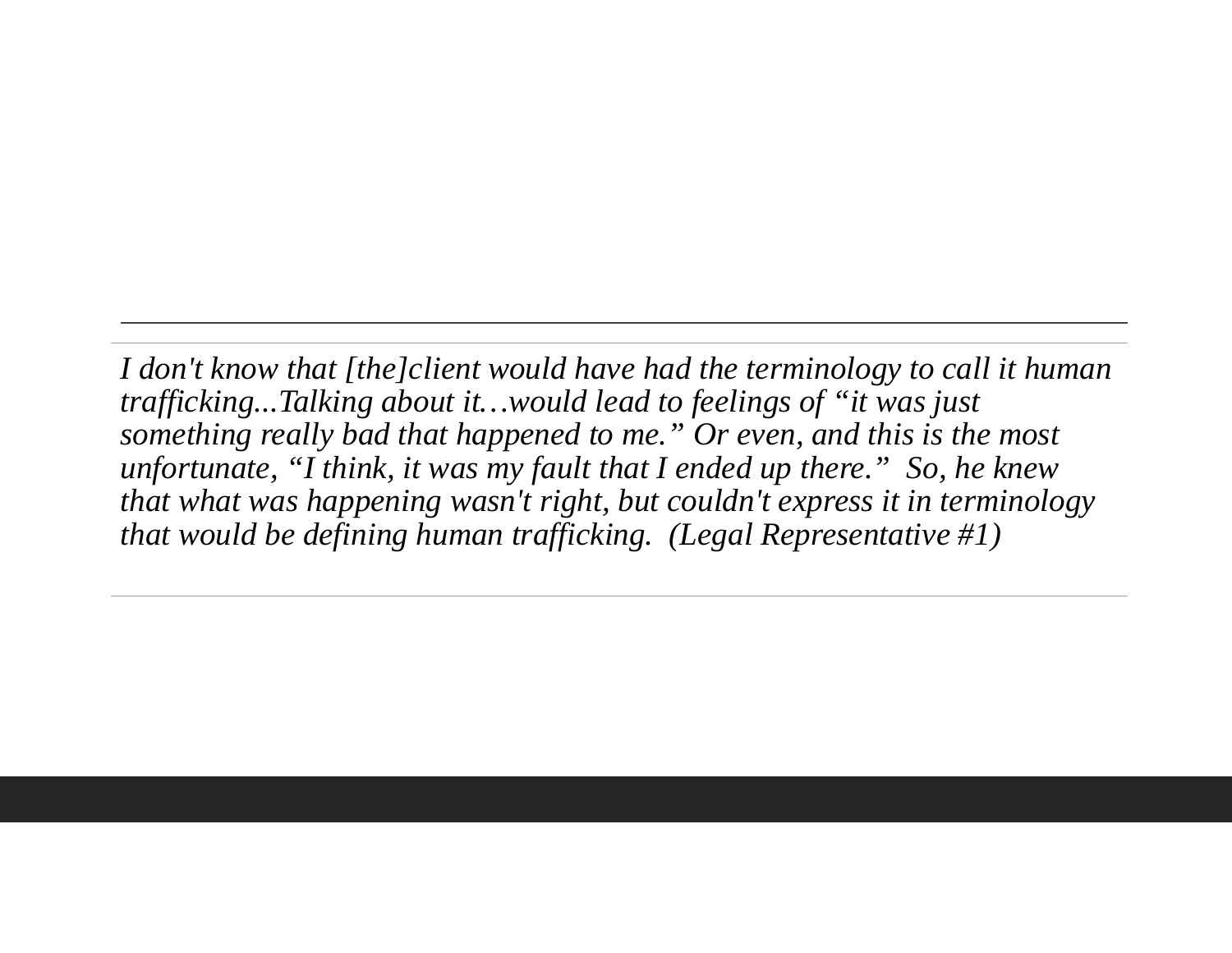*I don't know that [the]client would have had the terminology to call it human trafficking...Talking about it…would lead to feelings of "it was just something really bad that happened to me." Or even, and this is the most unfortunate, "I think, it was my fault that I ended up there." So, he knew that what was happening wasn't right, but couldn't express it in terminology that would be defining human trafficking. (Legal Representative #1)*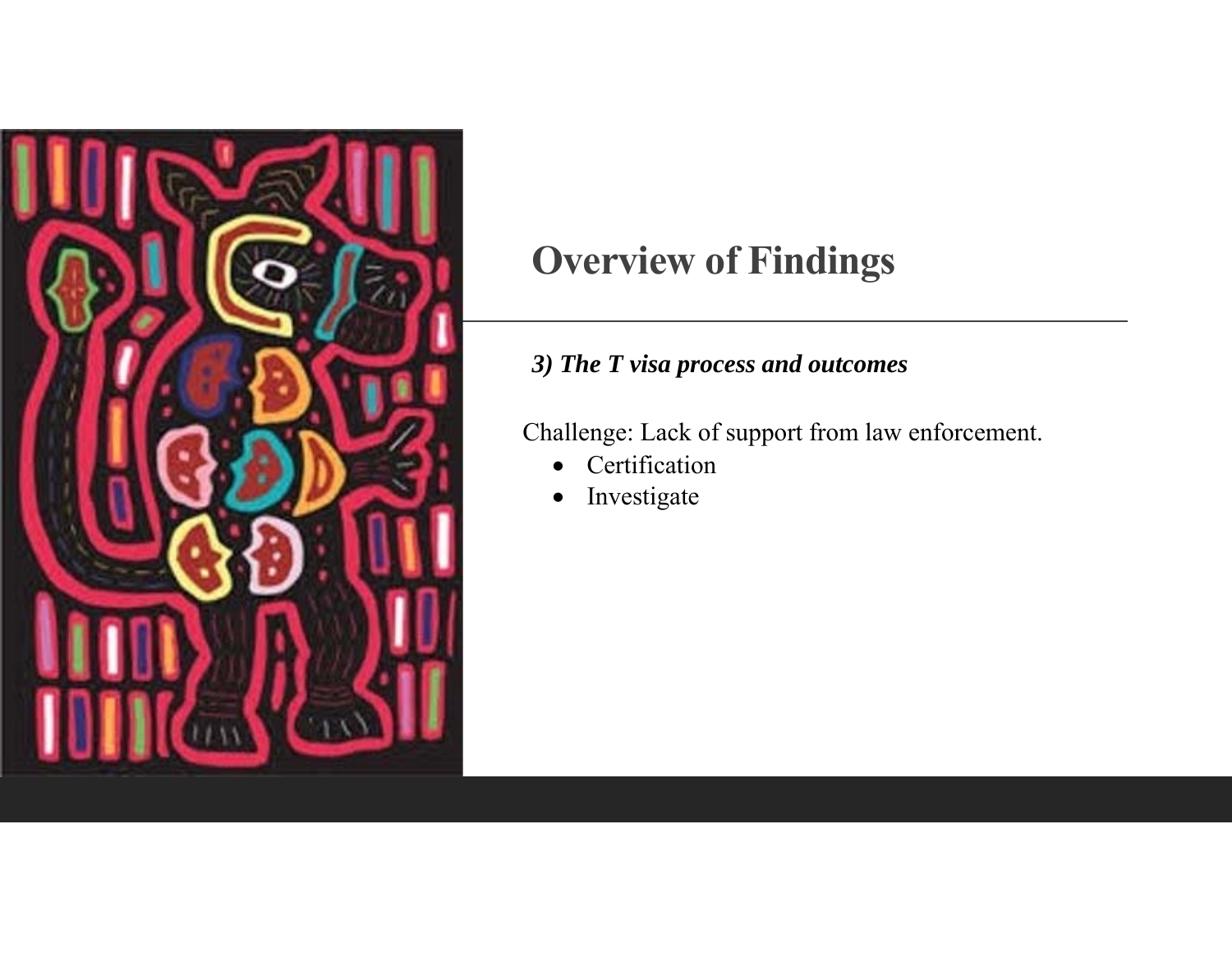

#### *3) The T visa process and outcomes*

Challenge: Lack of support from law enforcement.

- $\bullet$ Certification
- $\bullet$ Investigate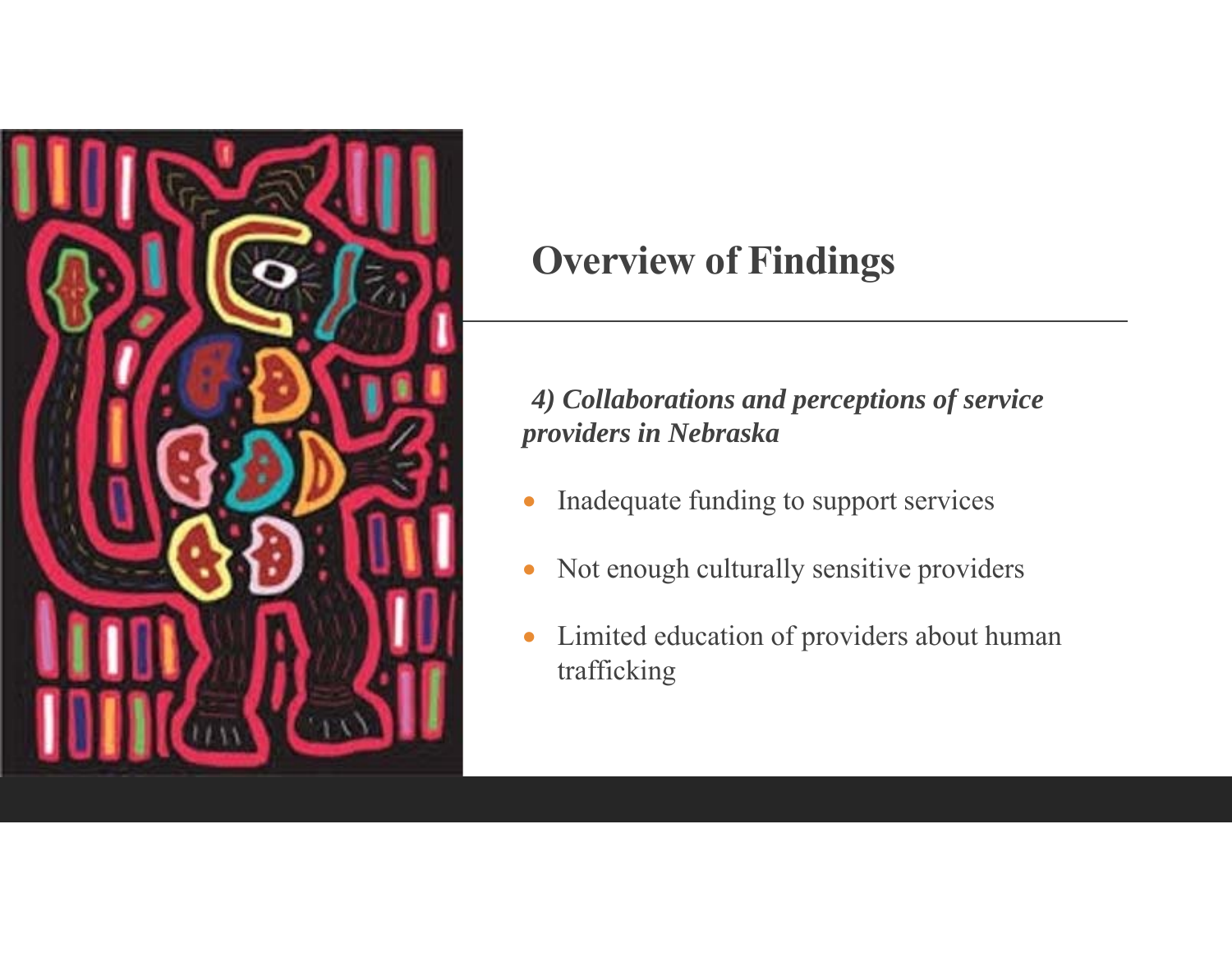

#### *4) Collaborations and perceptions of service providers in Nebraska*

- 0 Inadequate funding to support services
- $\bullet$ Not enough culturally sensitive providers
- $\bullet$  Limited education of providers about human trafficking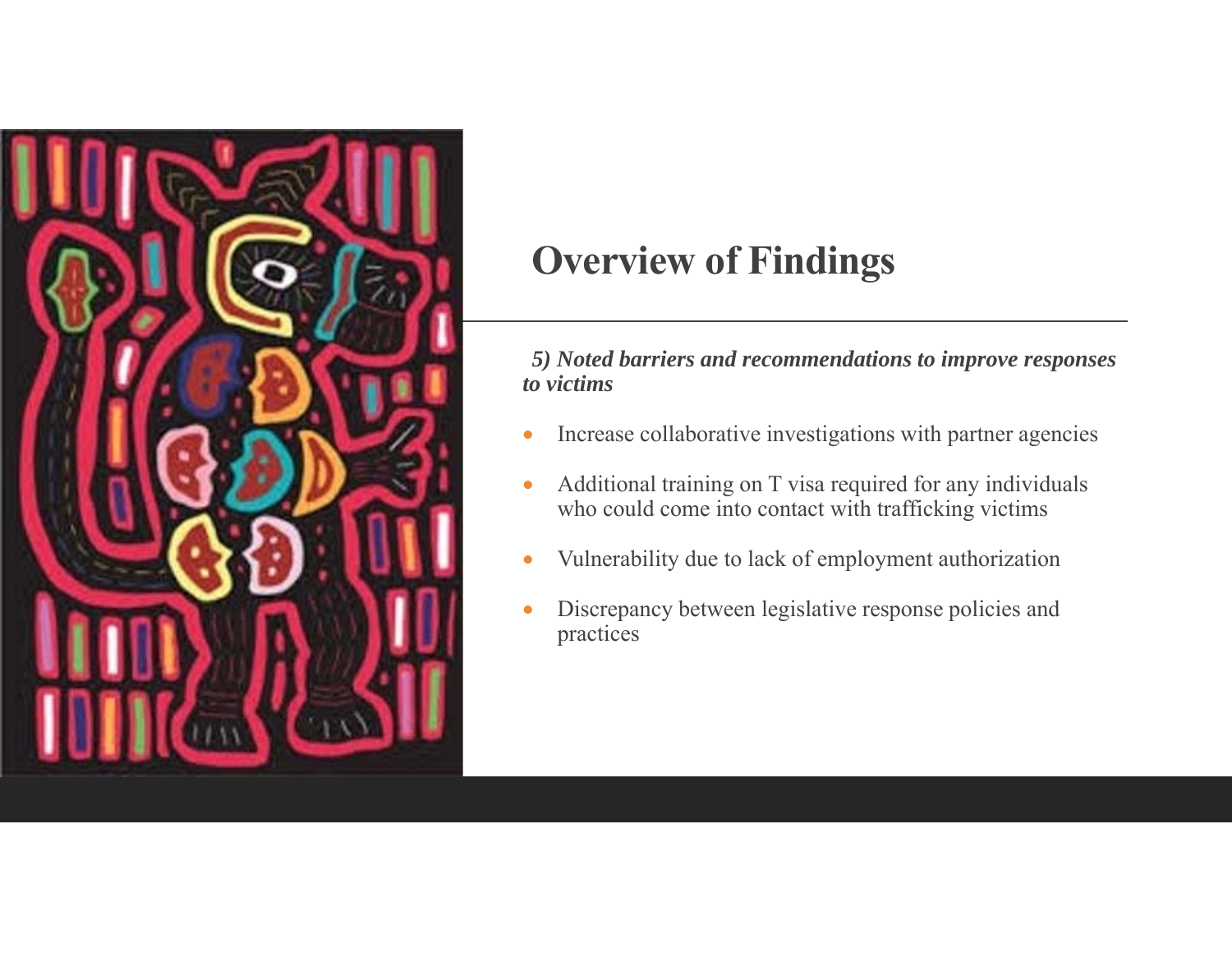

*5) Noted barriers and recommendations to improve responses to victims* 

- $\bullet$ Increase collaborative investigations with partner agencies
- $\bullet$  Additional training on T visa required for any individuals who could come into contact with trafficking victims
- $\bullet$ Vulnerability due to lack of employment authorization
- 0 Discrepancy between legislative response policies and practices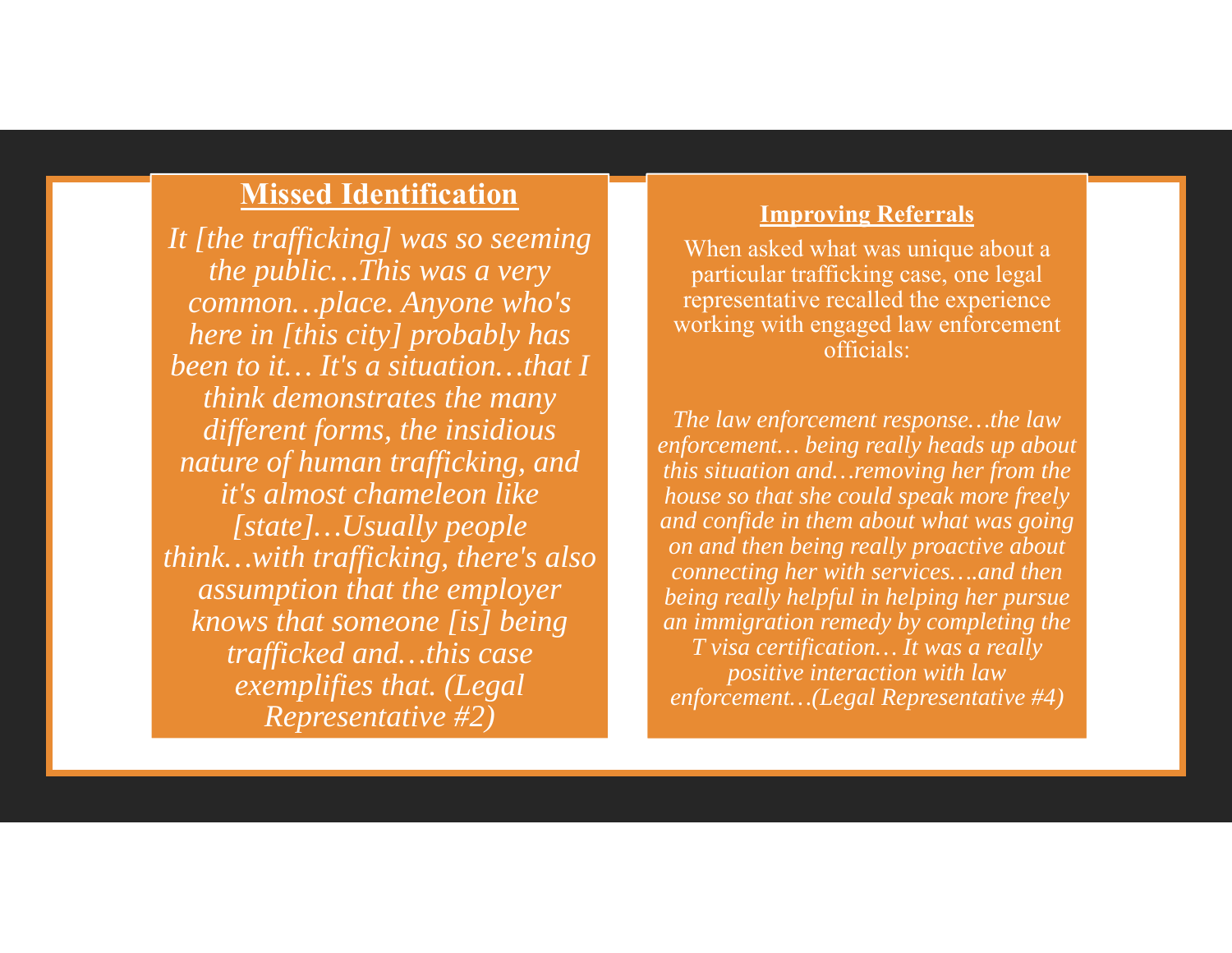#### **Missed Identification**

*It [the trafficking] was so seeming the public…This was a very common…place. Anyone who's here in [this city] probably has been to it… It's a situation…that I think demonstrates the many different forms, the insidious nature of human trafficking, and it's almost chameleon like [state]…Usually people think…with trafficking, there's also assumption that the employer knows that someone [is] being trafficked and…this case exemplifies that. (Legal Representative #2)*

#### **Improving Referrals**

When asked what was unique about a particular trafficking case, one legal representative recalled the experience working with engaged law enforcement officials:

*The law enforcement response…the law enforcement… being really heads up about this situation and…removing her from the house so that she could speak more freely and confide in them about what was going on and then being really proactive about connecting her with services….and then being really helpful in helping her pursue an immigration remedy by completing the T visa certification… It was a really positive interaction with law enforcement…(Legal Representative #4)*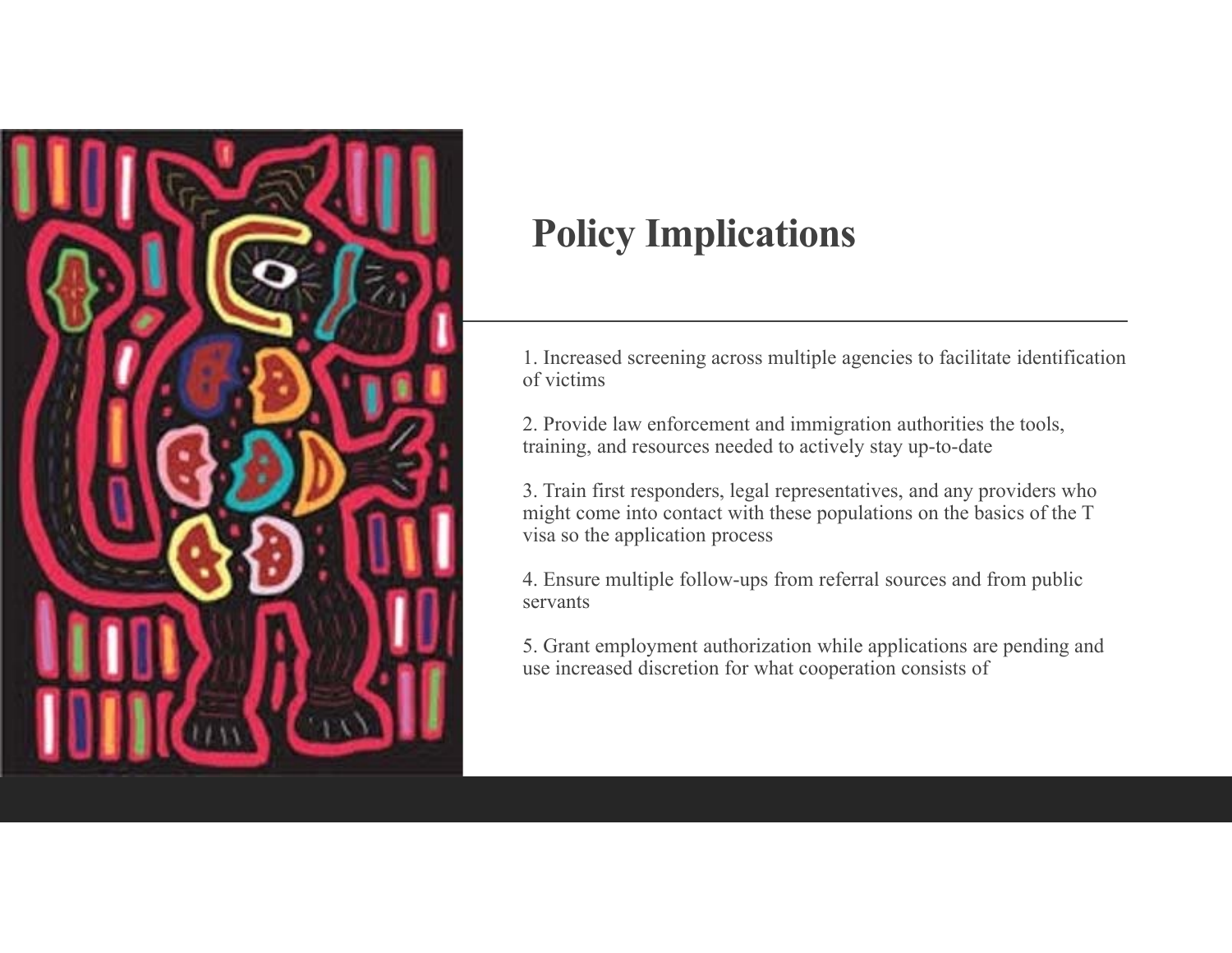

# **Policy Implications**

1. Increased screening across multiple agencies to facilitate identification of victims

2. Provide law enforcement and immigration authorities the tools, training, and resources needed to actively stay up-to-date

3. Train first responders, legal representatives, and any providers who might come into contact with these populations on the basics of the T visa so the application process

4. Ensure multiple follow-ups from referral sources and from public servants

5. Grant employment authorization while applications are pending and use increased discretion for what cooperation consists of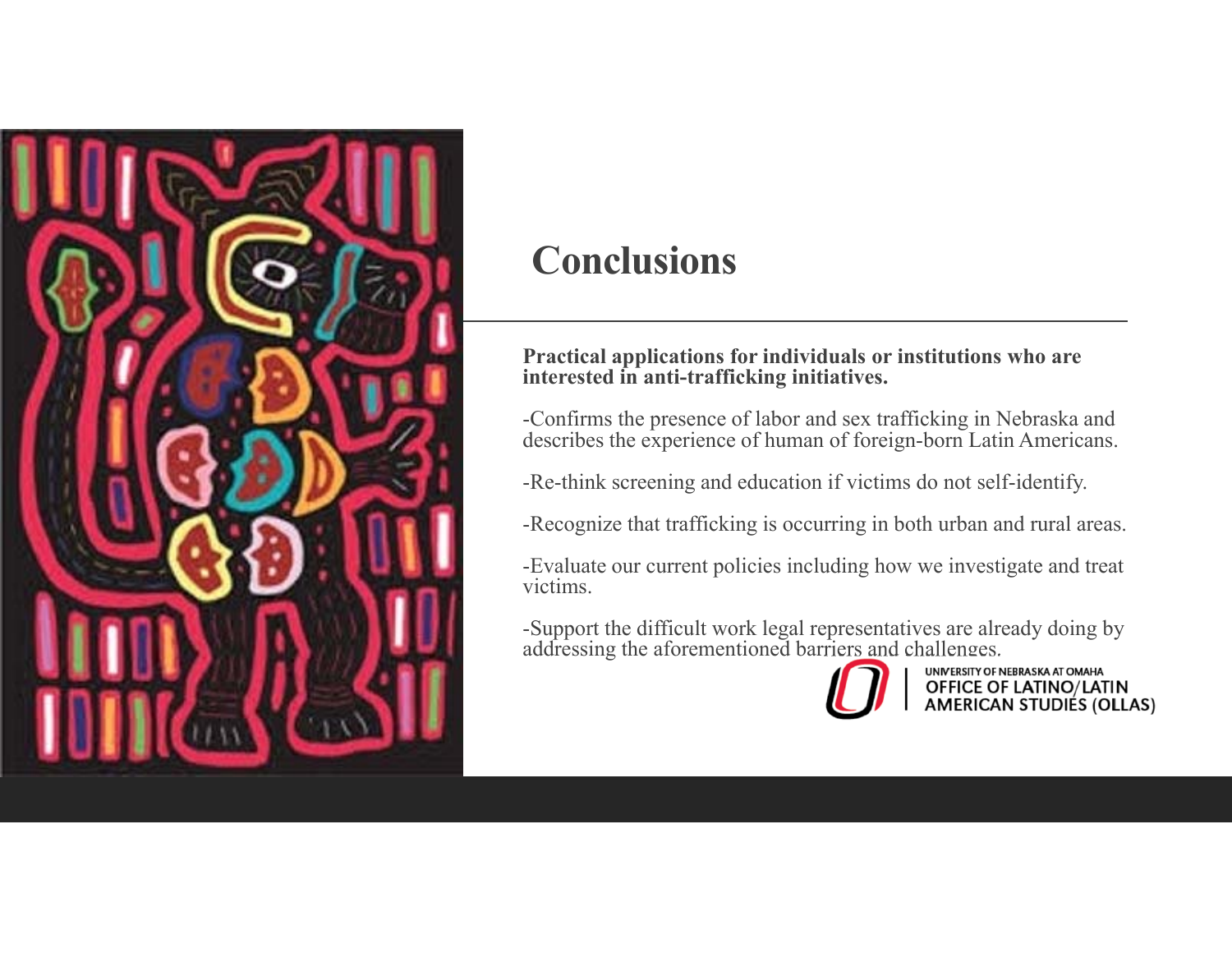

## **Conclusions**

#### **Practical applications for individuals or institutions who are interested in anti-trafficking initiatives.**

-Confirms the presence of labor and sex trafficking in Nebraska and describes the experience of human of foreign-born Latin Americans.

-Re-think screening and education if victims do not self-identify.

-Recognize that trafficking is occurring in both urban and rural areas.

-Evaluate our current policies including how we investigate and treat victims.

-Support the difficult work legal representatives are already doing by addressing the aforementioned barriers and challenges.



**UNIVERSITY OF NEBRASKA AT OMAHA** OFFICE OF LATINO/LATIN<br>AMERICAN STUDIES (OLLAS)